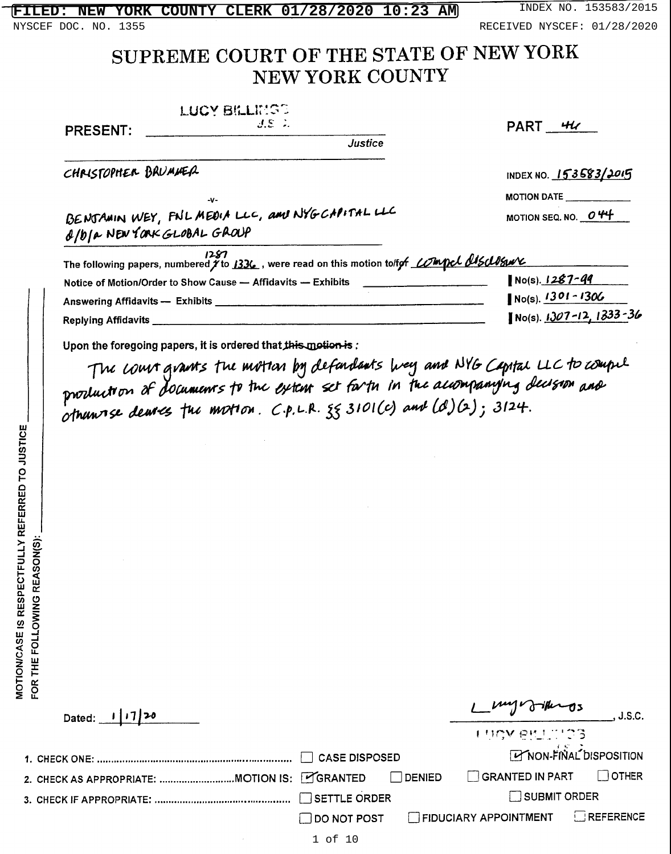**PRESENT:** 

NYSCEF DOC. NO. 1355 **RECEIVED NYSCEF: 01/28/2020** 

# SUPREME COURT OF THE STATE OF NEW YORK NEW YORK COUNTY

**LUCY BILLING?** 

| $J. \Sigma$ . |  |
|---------------|--|
| Justice<br>u. |  |

| PART | HL |
|------|----|
|      |    |

CHRISTOPHER BRUMMER

INDEX NO. 153583/2015 **MOTION DATE** 

MOTION SEQ. NO. 044

|                             | BENJAMIN WEY, FNL MEDIA LLC, and NYGCAPITAL LLC |
|-----------------------------|-------------------------------------------------|
| a/b/a NEW YORK GLOBAL GROUP |                                                 |

٠y.

| 1287<br>The following papers, numbered $\check{\jmath}$ to 1336 , were read on this motion to/for <i>LOImpel AISAJSwV</i> |                                 |
|---------------------------------------------------------------------------------------------------------------------------|---------------------------------|
| Notice of Motion/Order to Show Cause - Affidavits - Exhibits                                                              | $No(s)$ . 1287-99               |
| Answering Affidavits - Exhibits                                                                                           | $No(s)$ . $1301 - 1306$         |
| Replying Affidavits <sub>.</sub>                                                                                          | No(s) $1307 - 12$ , $1333 - 36$ |

Upon the foregoing papers, it is ordered that this motion is:

The court grants the motter by defendants lives and NYG Capital LLC to compute<br>production of documents to the extent set forth in the accompanying decision and otherwise deures the motion. C.p.L.R. 35 3101(c) and (d)(2); 3124.

|  | Dated: $1/7/20$                             |  |        | Lung Jiknos                                 | J.S.C.                          |
|--|---------------------------------------------|--|--------|---------------------------------------------|---------------------------------|
|  |                                             |  |        | <b>LIROV PRILLIPS</b>                       |                                 |
|  |                                             |  |        |                                             | <b>TY NON-FINAL DISPOSITION</b> |
|  | . CHECK AS APPROPRIATE: MOTION IS: LORANTED |  | DENIED | $\Box$ GRANTED IN PART $\Box$ OTHER         |                                 |
|  |                                             |  |        | SUBMIT ORDER                                |                                 |
|  |                                             |  |        | DO NOT POST FIDUCIARY APPOINTMENT REFERENCE |                                 |
|  |                                             |  |        |                                             |                                 |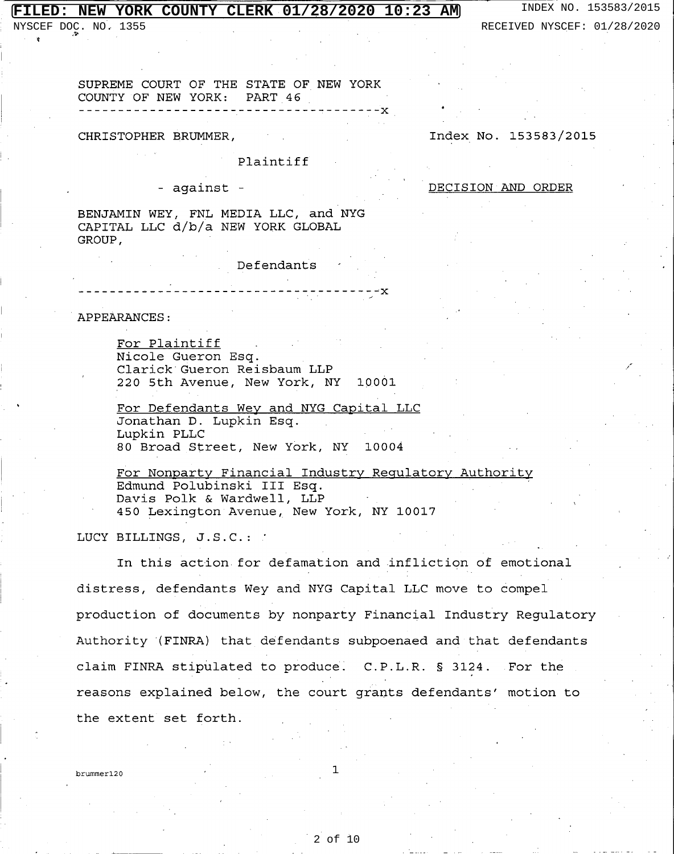NYSCEF DOC. NO. 1355 RECEIVED NYSCEF: 01/28/2020

SUPREME COURT OF THE STATE OF NEW YORK COUNTY OF NEW YORK: PART 46

### CHRISTOPHER BRUMMER,

Plaintiff

### - against -

BENJAMIN WEY, FNL MEDIA LLC, and NYG CAPITAL LLC d/b/a NEW YORK GLOBAL GROUP,

\_ \_ \_ **\_ \_ \_ \_ \_ \_ \_** \_ \_ \_

Defendants

- – x

APPEARANCES:

For Plaintiff Nicole Gueron Esq. Clarick Gueron Reisbaum LLP 220 5th Avenue, New York, NY 10001

For Defendants Wey and NYG Capital LLC Jonathan D. Lupkin Esq. Lupkin PLLC 80 Broad Street, New York, NY 10004

For Nonparty Financial Industry Regulatory Authority Edmund Polubinski III Esq. Davis Polk & Wardwell, LLP 450 Lexington Avenue, New York, NY 10017

LUCY BILLINGS, J.S.C.:

In this action for defamation and infliction of emotional distress, defendants Wey and NYG Capital LLC move to compel production of documents by nonparty Financial Industry Regulatory Authority (FINRA) that defendants subpoenaed and that defendants claim FINRA stipulated to produce. C.P.L.R. § 3124. For the reasons explained below, the court grants defendants' motion to the extent set forth.

hrummer120

### Index No. 153583/2015

DECISION AND ORDER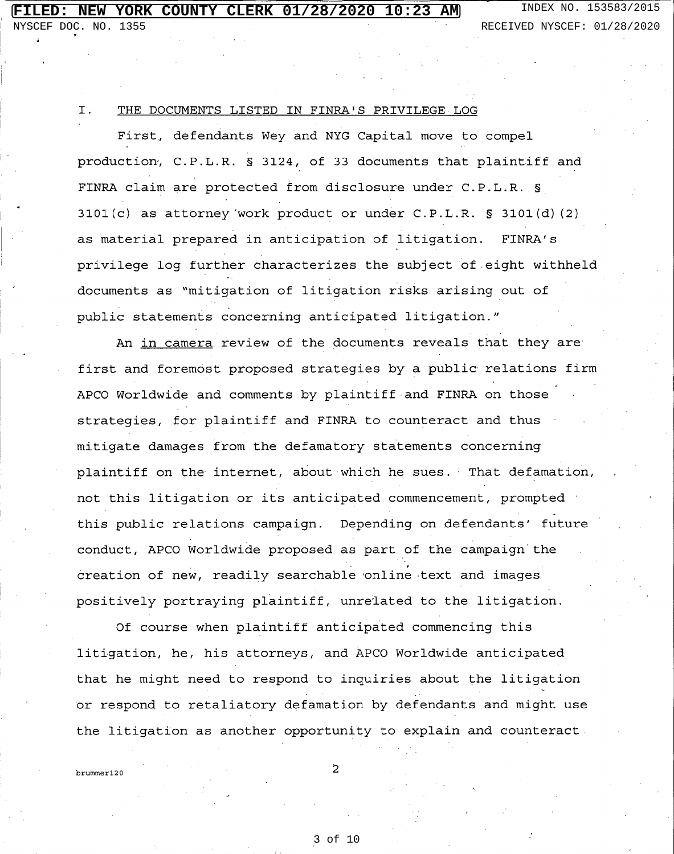NYSCEF DOC. NO. 1355 **RECEIVED NYSCEF: 01/28/2020** 

#### I. THE DOCUMENTS LISTED IN FINRA'S PRIVILEGE LOG

First, defendants Wey and NYG Capital move to compel production, C.P.L.R. § 3124, of 33 documents that plaintiff and FINRA claim are protected from disclosure under C.P.L.R. §  $3101(c)$  as attorney work product or under C.P.L.R. § 3101(d)(2) as material prepared in anticipation of litigation. FINRA's privilege log further characterizes the subject of eight withheld documents as "mitigation of litigation risks arising out of public statements concerning anticipated litigation."

An in camera review of the documents reveals that they are first and foremost proposed strategies by a public relations firm APCO Worldwide and comments by plaintiff and FINRA on those strategies, for plaintiff and FINRA to counteract and thus mitigate damages from the defamatory statements concerning plaintiff on the internet, about which he sues. That defamation, not this litigation or its anticipated commencement, prompted ' this public relations campaign. Depending on defendants' future conduct, APCO Worldwide proposed as part of the campaign the creation of new, readily searchable online text and images positively portraying plaintiff, unrelated to the litigation.

Of course when plaintiff anticipated commencing this litigation, he, his attorneys, and APCO Worldwide anticipated that he might need to respond to inquiries about the litigation or respond to retaliatory defamation by defendants and might use the litigation as another opportunity to explain and counteract

brummer120

 $\overline{2}$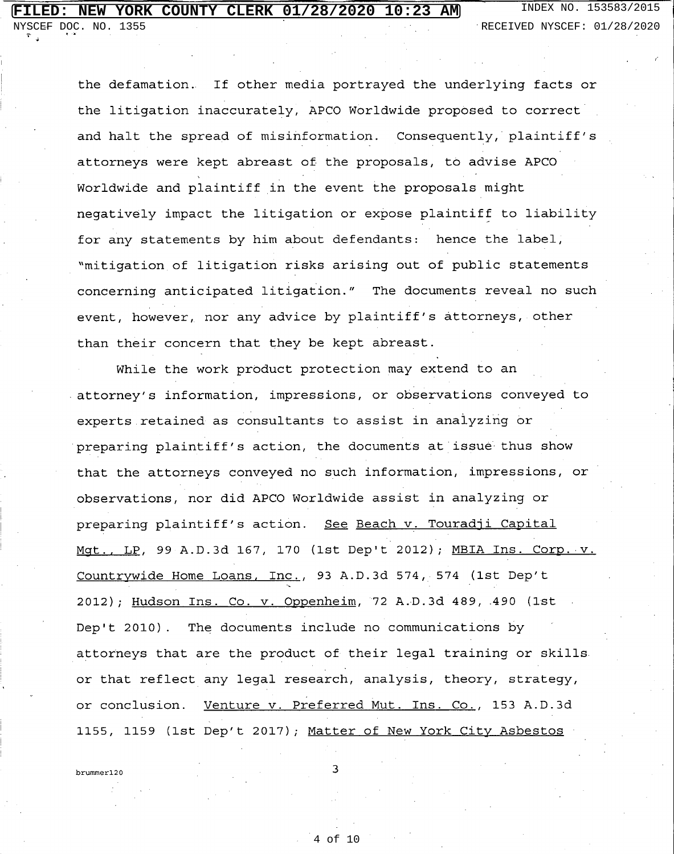NYSCEF DOC. NO. 1355 RECEIVED NYSCEF: 01/28/2020

the defamation. If other media portrayed the underlying facts or the litigation inaccurately, APCO Worldwide proposed to correct and halt the spread of misinformation. Consequently, plaintiff's attorneys were kept abreast of the proposals, to advise APCO Worldwide and plaintiff in the event the proposals might negatively impact the litigation or expose plaintiff to liability for any statements by him about defendants: hence the label, "mitigation of litigation risks arising out of public statements concerning anticipated litigation." The documents reveal no such event, however, nor any advice by plaintiff's attorneys, other than their concern that they be kept abreast.

While the work product protection may extend to an attorney's information, impressions, or observations conveyed to experts retained as consultants to assist in analyzing or preparing plaintiff's action, the documents at issue thus show that the attorneys conveyed no such information, impressions, or observations, nor did APCO Worldwide assist in analyzing or preparing plaintiff's action. See Beach v. Touradji Capital Mqt., LP, 99 A.D.3d 167, 170 (1st Dep't 2012); MBIA Ins. Corp. v. Countrywide Home Loans, Inc., 93 A.D.3d 574, 574 (1st Dep't 2012); Hudson Ins. Co. v. Oppenheim, 72 A.D.3d 489, 490 (1st Dep't 2010). The documents include no communications by attorneys that are the product of their legal training or skills. or that reflect any legal research, analysis, theory, strategy, Venture v. Preferred Mut. Ins. Co., 153 A.D.3d or conclusion. 1155, 1159 (1st Dep't 2017); Matter of New York City Asbestos

brummer120

3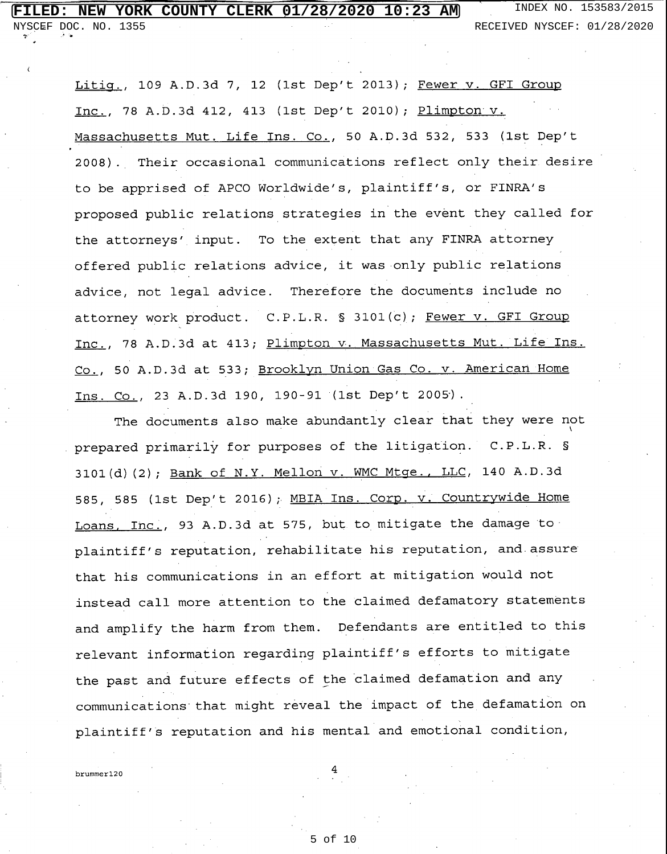NUMBER DOC. NO. 1355 RECEIVED NYSCEF: 01/28/2020

Litiq., 109 A.D.3d 7, 12 (1st Dep't 2013); Fewer v. GFI Group Inc., 78 A.D.3d 412, 413 (1st Dep't 2010); Plimpton v. Massachusetts Mut. Life Ins. Co., 50 A.D.3d 532, 533 (1st Dep't 2008). Their occasional communications reflect only their desire to be apprised of APCO Worldwide's, plaintiff's, or FINRA's proposed public relations strategies in the event they called for the attorneys' input. To the extent that any FINRA attorney offered public relations advice, it was only public relations advice, not legal advice. Therefore the documents include no attorney work product. C.P.L.R. § 3101(c); Fewer v. GFI Group Inc., 78 A.D.3d at 413; Plimpton v. Massachusetts Mut. Life Ins. Co., 50 A.D.3d at 533; Brooklyn Union Gas Co. v. American Home Ins. Co., 23 A.D.3d 190, 190-91 (1st Dep't 2005).

The documents also make abundantly clear that they were not prepared primarily for purposes of the litigation. C.P.L.R. § 3101(d)(2); Bank of N.Y. Mellon v. WMC Mtge., LLC, 140 A.D.3d 585, 585 (1st Dep't 2016); MBIA Ins. Corp. v. Countrywide Home Loans, Inc., 93 A.D.3d at 575, but to mitigate the damage to plaintiff's reputation, rehabilitate his reputation, and assure that his communications in an effort at mitigation would not instead call more attention to the claimed defamatory statements and amplify the harm from them. Defendants are entitled to this relevant information regarding plaintiff's efforts to mitigate the past and future effects of the claimed defamation and any communications that might reveal the impact of the defamation on plaintiff's reputation and his mental and emotional condition,

hrummer120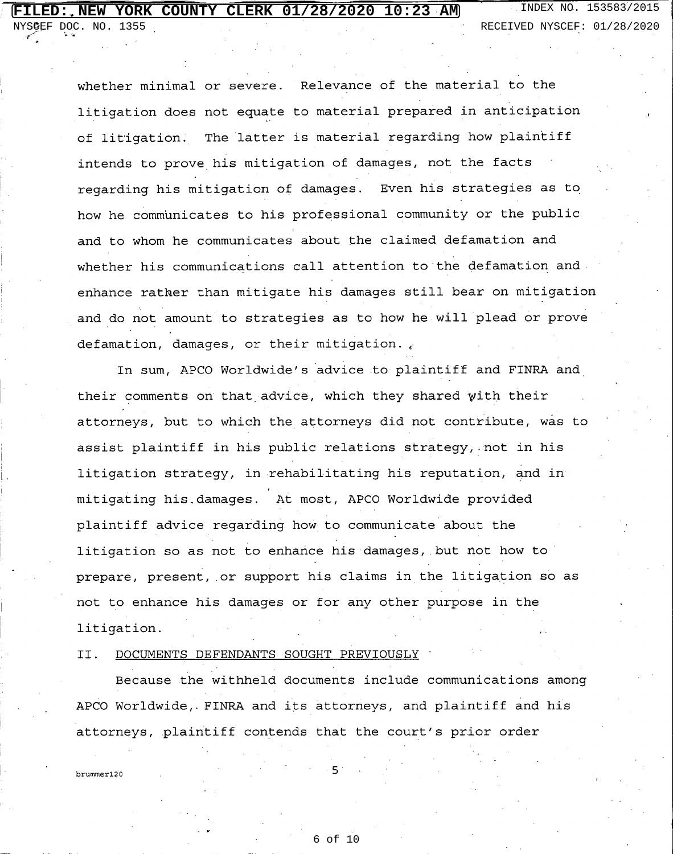NYSCEF DOC. NO. 1355 RECEIVED NYSCEF: 01/28/2020

whether minimal or severe. Relevance of the material to the litigation does not equate to material prepared in anticipation The latter is material regarding how plaintiff of litigation. intends to prove his mitigation of damages, not the facts regarding his mitigation of damages. Even his strategies as to how he communicates to his professional community or the public and to whom he communicates about the claimed defamation and whether his communications call attention to the defamation and enhance rather than mitigate his damages still bear on mitigation and do not amount to strategies as to how he will plead or prove defamation, damages, or their mitigation.

In sum, APCO Worldwide's advice to plaintiff and FINRA and their comments on that advice, which they shared with their attorneys, but to which the attorneys did not contribute, was to assist plaintiff in his public relations strategy, not in his litigation strategy, in rehabilitating his reputation, and in mitigating his damages. At most, APCO Worldwide provided plaintiff advice regarding how to communicate about the litigation so as not to enhance his damages, but not how to prepare, present, or support his claims in the litigation so as not to enhance his damages or for any other purpose in the litigation.

DOCUMENTS DEFENDANTS SOUGHT PREVIOUSLY II.

Because the withheld documents include communications among APCO Worldwide, FINRA and its attorneys, and plaintiff and his attorneys, plaintiff contends that the court's prior order

brummer120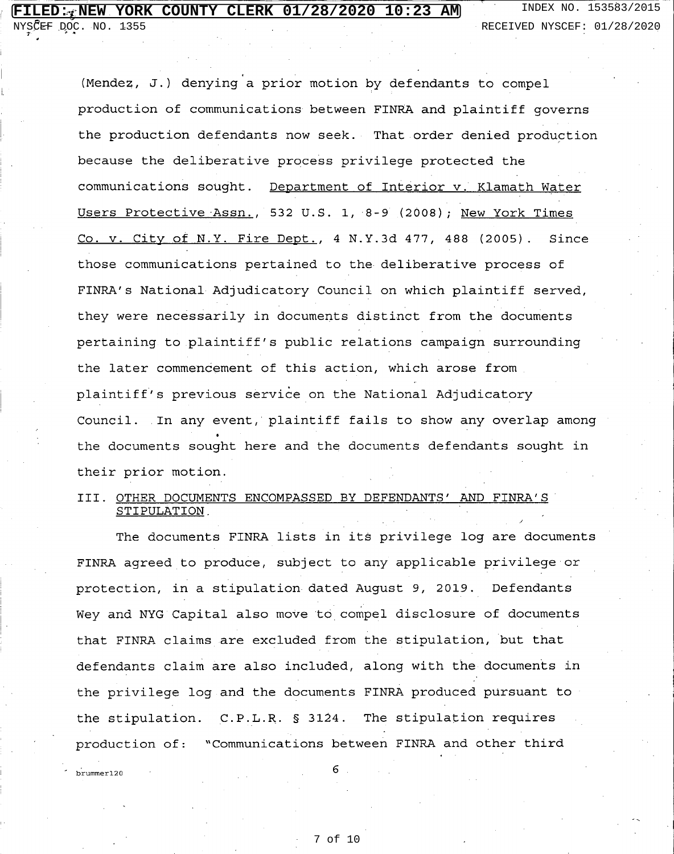.<br>brummer120

NYSCEF DOC. NO. 1355 RECEIVED NYSCEF: 01/28/2020

(Mendez, J.) denying a prior motion by defendants to compel production of communications between FINRA and plaintiff governs the production defendants now seek. That order denied production because the deliberative process privilege protected the communications sought. Department of Interior v. Klamath Water Users Protective Assn., 532 U.S. 1, 8-9 (2008); New York Times Co. v. City of N.Y. Fire Dept., 4 N.Y.3d 477, 488 (2005). Since those communications pertained to the deliberative process of FINRA's National Adjudicatory Council on which plaintiff served, they were necessarily in documents distinct from the documents pertaining to plaintiff's public relations campaign surrounding the later commencement of this action, which arose from plaintiff's previous service on the National Adjudicatory Council. In any event, plaintiff fails to show any overlap among the documents sought here and the documents defendants sought in their prior motion.

### III. OTHER DOCUMENTS ENCOMPASSED BY DEFENDANTS' AND FINRA'S STIPULATION

The documents FINRA lists in its privilege log are documents FINRA agreed to produce, subject to any applicable privilege or protection, in a stipulation dated August 9, 2019. Defendants Wey and NYG Capital also move to compel disclosure of documents that FINRA claims are excluded from the stipulation, but that defendants claim are also included, along with the documents in the privilege log and the documents FINRA produced pursuant to the stipulation. C.P.L.R. § 3124. The stipulation requires production of: "Communications between FINRA and other third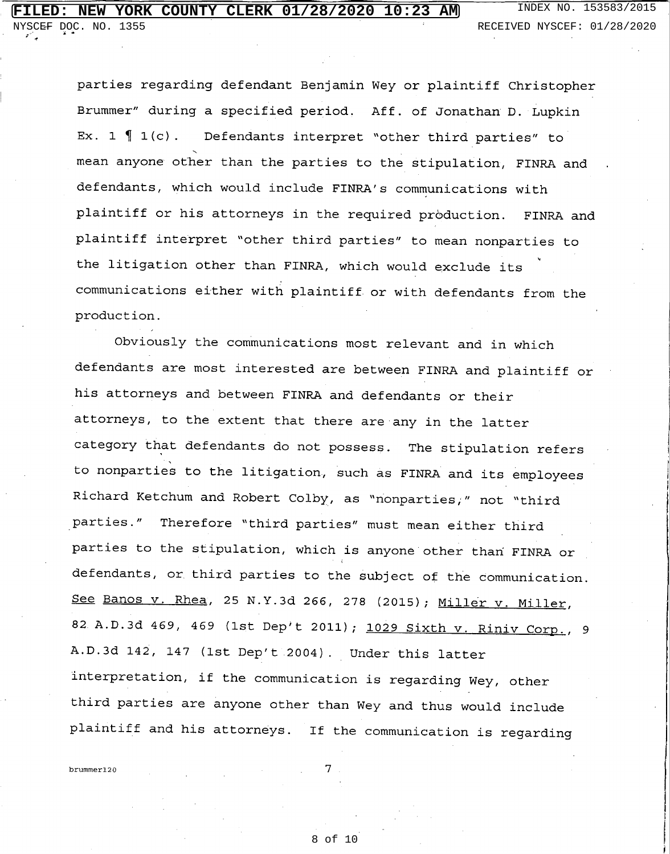parties regarding defendant Benjamin Wey or plaintiff Christopher Brummer" during a specified period. Aff. of Jonathan D. Lupkin Ex.  $1 \nvert 1(c)$ . Defendants interpret "other third parties" to mean anyone other than the parties to the stipulation, FINRA and defendants, which would include FINRA's communications with plaintiff or his attorneys in the required production. FINRA and plaintiff interpret "other third parties" to mean nonparties to the litigation other than FINRA, which would exclude its communications either with plaintiff or with defendants from the production.

Obviously the communications most relevant and in which defendants are most interested are between FINRA and plaintiff or his attorneys and between FINRA and defendants or their attorneys, to the extent that there are any in the latter category that defendants do not possess. The stipulation refers to nonparties to the litigation, such as FINRA and its employees Richard Ketchum and Robert Colby, as "nonparties," not "third Therefore "third parties" must mean either third parties." parties to the stipulation, which is anyone other than FINRA or defendants, or third parties to the subject of the communication. See Banos v. Rhea, 25 N.Y.3d 266, 278 (2015); Miller v. Miller, 82 A.D.3d 469, 469 (1st Dep't 2011); 1029 Sixth v. Riniv Corp., 9 A.D.3d 142, 147 (1st Dep't 2004). Under this latter interpretation, if the communication is regarding Wey, other third parties are anyone other than Wey and thus would include plaintiff and his attorneys. If the communication is regarding

brummer120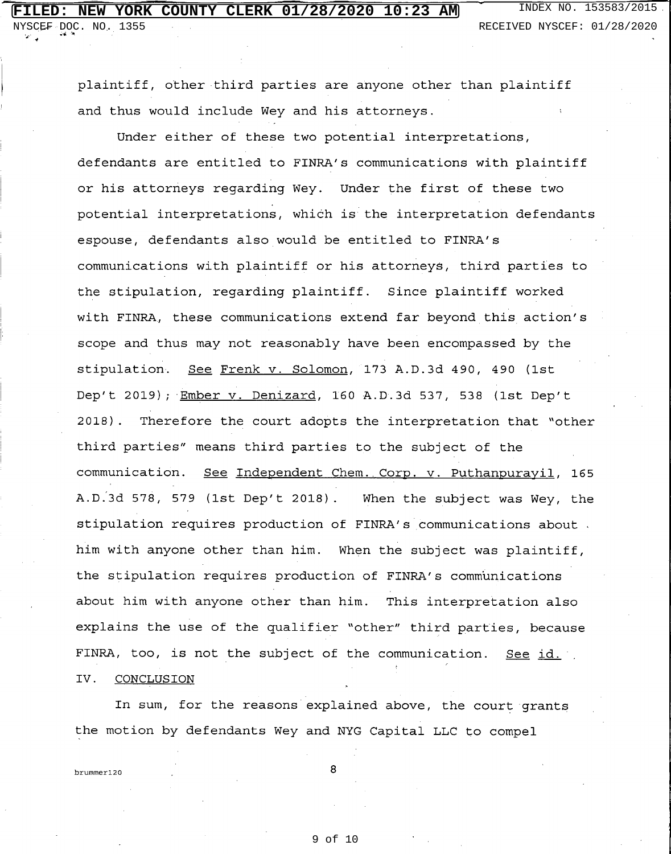plaintiff, other third parties are anyone other than plaintiff and thus would include Wey and his attorneys.

Under either of these two potential interpretations, defendants are entitled to FINRA's communications with plaintiff or his attorneys regarding Wey. Under the first of these two potential interpretations, which is the interpretation defendants espouse, defendants also would be entitled to FINRA's communications with plaintiff or his attorneys, third parties to the stipulation, regarding plaintiff. Since plaintiff worked with FINRA, these communications extend far beyond this action's scope and thus may not reasonably have been encompassed by the stipulation. See Frenk v. Solomon, 173 A.D.3d 490, 490 (1st Dep't 2019); Ember v. Denizard, 160 A.D.3d 537, 538 (1st Dep't  $2018$ . Therefore the court adopts the interpretation that "other third parties" means third parties to the subject of the communication. See Independent Chem. Corp. v. Puthanpurayil, 165 A.D.3d 578, 579 (1st Dep't 2018). When the subject was Wey, the stipulation requires production of FINRA's communications about. him with anyone other than him. When the subject was plaintiff, the stipulation requires production of FINRA's communications about him with anyone other than him. This interpretation also explains the use of the qualifier "other" third parties, because FINRA, too, is not the subject of the communication. See id. IV. **CONCLUSION** 

In sum, for the reasons explained above, the court grants the motion by defendants Wey and NYG Capital LLC to compel

brummer120

8